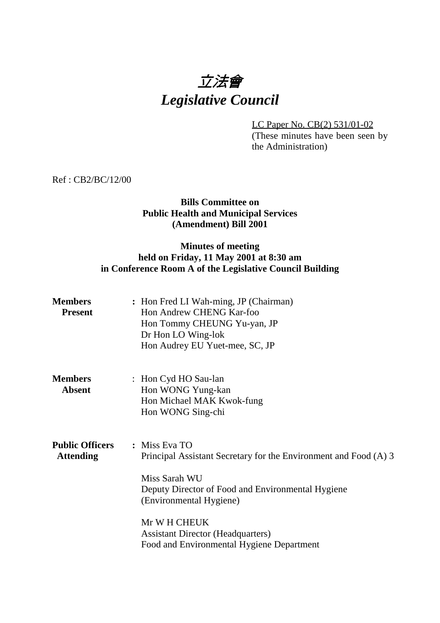# 立法會 *Legislative Council*

LC Paper No. CB(2) 531/01-02 (These minutes have been seen by the Administration)

Ref : CB2/BC/12/00

## **Bills Committee on Public Health and Municipal Services (Amendment) Bill 2001**

# **Minutes of meeting held on Friday, 11 May 2001 at 8:30 am in Conference Room A of the Legislative Council Building**

| <b>Members</b><br><b>Present</b>           | : Hon Fred LI Wah-ming, JP (Chairman)<br>Hon Andrew CHENG Kar-foo<br>Hon Tommy CHEUNG Yu-yan, JP<br>Dr Hon LO Wing-lok<br>Hon Audrey EU Yuet-mee, SC, JP                                                                                                                                    |
|--------------------------------------------|---------------------------------------------------------------------------------------------------------------------------------------------------------------------------------------------------------------------------------------------------------------------------------------------|
| <b>Members</b><br><b>Absent</b>            | : Hon Cyd HO Sau-lan<br>Hon WONG Yung-kan<br>Hon Michael MAK Kwok-fung<br>Hon WONG Sing-chi                                                                                                                                                                                                 |
| <b>Public Officers</b><br><b>Attending</b> | : Miss Eva TO<br>Principal Assistant Secretary for the Environment and Food (A) 3<br>Miss Sarah WU<br>Deputy Director of Food and Environmental Hygiene<br>(Environmental Hygiene)<br>Mr W H CHEUK<br><b>Assistant Director (Headquarters)</b><br>Food and Environmental Hygiene Department |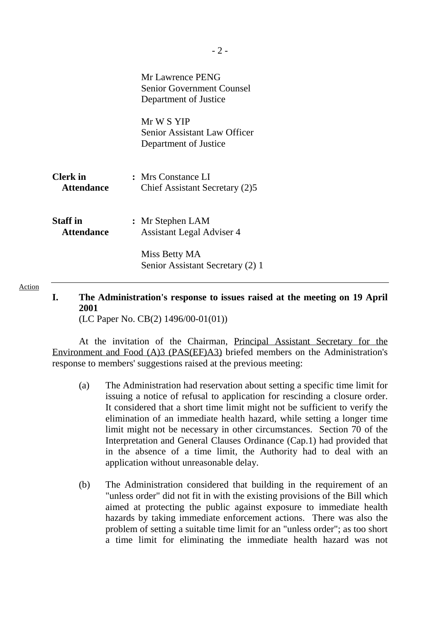|                                      | Mr Lawrence PENG<br><b>Senior Government Counsel</b><br>Department of Justice |
|--------------------------------------|-------------------------------------------------------------------------------|
|                                      | Mr W S YIP<br><b>Senior Assistant Law Officer</b><br>Department of Justice    |
| <b>Clerk</b> in<br><b>Attendance</b> | : Mrs Constance LI<br>Chief Assistant Secretary (2)5                          |
| <b>Staff</b> in<br><b>Attendance</b> | : Mr Stephen LAM<br><b>Assistant Legal Adviser 4</b>                          |
|                                      | Miss Betty MA<br>Senior Assistant Secretary (2) 1                             |

**I. The Administration's response to issues raised at the meeting on 19 April 2001**

(LC Paper No. CB(2) 1496/00-01(01))

Action

At the invitation of the Chairman, Principal Assistant Secretary for the Environment and Food (A)3 (PAS(EF)A3) briefed members on the Administration's response to members' suggestions raised at the previous meeting:

- (a) The Administration had reservation about setting a specific time limit for issuing a notice of refusal to application for rescinding a closure order. It considered that a short time limit might not be sufficient to verify the elimination of an immediate health hazard, while setting a longer time limit might not be necessary in other circumstances. Section 70 of the Interpretation and General Clauses Ordinance (Cap.1) had provided that in the absence of a time limit, the Authority had to deal with an application without unreasonable delay.
- (b) The Administration considered that building in the requirement of an "unless order" did not fit in with the existing provisions of the Bill which aimed at protecting the public against exposure to immediate health hazards by taking immediate enforcement actions. There was also the problem of setting a suitable time limit for an "unless order"; as too short a time limit for eliminating the immediate health hazard was not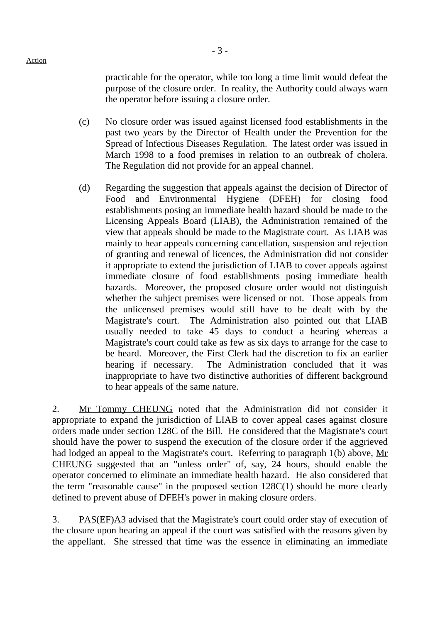practicable for the operator, while too long a time limit would defeat the purpose of the closure order. In reality, the Authority could always warn the operator before issuing a closure order.

- (c) No closure order was issued against licensed food establishments in the past two years by the Director of Health under the Prevention for the Spread of Infectious Diseases Regulation. The latest order was issued in March 1998 to a food premises in relation to an outbreak of cholera. The Regulation did not provide for an appeal channel.
- (d) Regarding the suggestion that appeals against the decision of Director of Food and Environmental Hygiene (DFEH) for closing food establishments posing an immediate health hazard should be made to the Licensing Appeals Board (LIAB), the Administration remained of the view that appeals should be made to the Magistrate court. As LIAB was mainly to hear appeals concerning cancellation, suspension and rejection of granting and renewal of licences, the Administration did not consider it appropriate to extend the jurisdiction of LIAB to cover appeals against immediate closure of food establishments posing immediate health hazards. Moreover, the proposed closure order would not distinguish whether the subject premises were licensed or not. Those appeals from the unlicensed premises would still have to be dealt with by the Magistrate's court. The Administration also pointed out that LIAB usually needed to take 45 days to conduct a hearing whereas a Magistrate's court could take as few as six days to arrange for the case to be heard. Moreover, the First Clerk had the discretion to fix an earlier hearing if necessary. The Administration concluded that it was inappropriate to have two distinctive authorities of different background to hear appeals of the same nature.

2. Mr Tommy CHEUNG noted that the Administration did not consider it appropriate to expand the jurisdiction of LIAB to cover appeal cases against closure orders made under section 128C of the Bill. He considered that the Magistrate's court should have the power to suspend the execution of the closure order if the aggrieved had lodged an appeal to the Magistrate's court. Referring to paragraph 1(b) above, Mr CHEUNG suggested that an "unless order" of, say, 24 hours, should enable the operator concerned to eliminate an immediate health hazard. He also considered that the term "reasonable cause" in the proposed section 128C(1) should be more clearly defined to prevent abuse of DFEH's power in making closure orders.

3. PAS(EF)A3 advised that the Magistrate's court could order stay of execution of the closure upon hearing an appeal if the court was satisfied with the reasons given by the appellant. She stressed that time was the essence in eliminating an immediate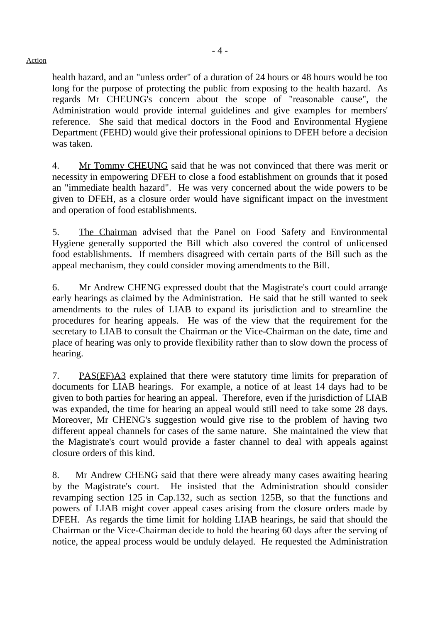health hazard, and an "unless order" of a duration of 24 hours or 48 hours would be too long for the purpose of protecting the public from exposing to the health hazard. As regards Mr CHEUNG's concern about the scope of "reasonable cause", the Administration would provide internal guidelines and give examples for members' reference. She said that medical doctors in the Food and Environmental Hygiene Department (FEHD) would give their professional opinions to DFEH before a decision was taken.

4. Mr Tommy CHEUNG said that he was not convinced that there was merit or necessity in empowering DFEH to close a food establishment on grounds that it posed an "immediate health hazard". He was very concerned about the wide powers to be given to DFEH, as a closure order would have significant impact on the investment and operation of food establishments.

5. The Chairman advised that the Panel on Food Safety and Environmental Hygiene generally supported the Bill which also covered the control of unlicensed food establishments. If members disagreed with certain parts of the Bill such as the appeal mechanism, they could consider moving amendments to the Bill.

6. Mr Andrew CHENG expressed doubt that the Magistrate's court could arrange early hearings as claimed by the Administration. He said that he still wanted to seek amendments to the rules of LIAB to expand its jurisdiction and to streamline the procedures for hearing appeals. He was of the view that the requirement for the secretary to LIAB to consult the Chairman or the Vice-Chairman on the date, time and place of hearing was only to provide flexibility rather than to slow down the process of hearing.

7. PAS(EF)A3 explained that there were statutory time limits for preparation of documents for LIAB hearings. For example, a notice of at least 14 days had to be given to both parties for hearing an appeal. Therefore, even if the jurisdiction of LIAB was expanded, the time for hearing an appeal would still need to take some 28 days. Moreover, Mr CHENG's suggestion would give rise to the problem of having two different appeal channels for cases of the same nature. She maintained the view that the Magistrate's court would provide a faster channel to deal with appeals against closure orders of this kind.

8. Mr Andrew CHENG said that there were already many cases awaiting hearing by the Magistrate's court. He insisted that the Administration should consider revamping section 125 in Cap.132, such as section 125B, so that the functions and powers of LIAB might cover appeal cases arising from the closure orders made by DFEH. As regards the time limit for holding LIAB hearings, he said that should the Chairman or the Vice-Chairman decide to hold the hearing 60 days after the serving of notice, the appeal process would be unduly delayed. He requested the Administration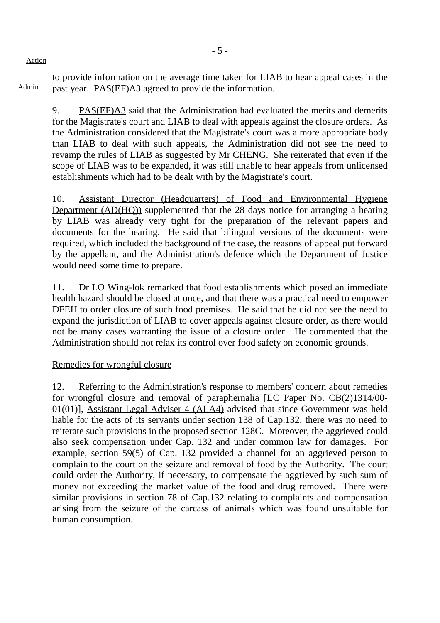Admin to provide information on the average time taken for LIAB to hear appeal cases in the past year. PAS(EF)A3 agreed to provide the information.

9. PAS(EF)A3 said that the Administration had evaluated the merits and demerits for the Magistrate's court and LIAB to deal with appeals against the closure orders. As the Administration considered that the Magistrate's court was a more appropriate body than LIAB to deal with such appeals, the Administration did not see the need to revamp the rules of LIAB as suggested by Mr CHENG. She reiterated that even if the scope of LIAB was to be expanded, it was still unable to hear appeals from unlicensed establishments which had to be dealt with by the Magistrate's court.

10. Assistant Director (Headquarters) of Food and Environmental Hygiene Department (AD(HQ)) supplemented that the 28 days notice for arranging a hearing by LIAB was already very tight for the preparation of the relevant papers and documents for the hearing. He said that bilingual versions of the documents were required, which included the background of the case, the reasons of appeal put forward by the appellant, and the Administration's defence which the Department of Justice would need some time to prepare.

11. Dr LO Wing-lok remarked that food establishments which posed an immediate health hazard should be closed at once, and that there was a practical need to empower DFEH to order closure of such food premises. He said that he did not see the need to expand the jurisdiction of LIAB to cover appeals against closure order, as there would not be many cases warranting the issue of a closure order. He commented that the Administration should not relax its control over food safety on economic grounds.

## Remedies for wrongful closure

12. Referring to the Administration's response to members' concern about remedies for wrongful closure and removal of paraphernalia [LC Paper No. CB(2)1314/00- 01(01)], Assistant Legal Adviser 4 (ALA4) advised that since Government was held liable for the acts of its servants under section 138 of Cap.132, there was no need to reiterate such provisions in the proposed section 128C. Moreover, the aggrieved could also seek compensation under Cap. 132 and under common law for damages. For example, section 59(5) of Cap. 132 provided a channel for an aggrieved person to complain to the court on the seizure and removal of food by the Authority. The court could order the Authority, if necessary, to compensate the aggrieved by such sum of money not exceeding the market value of the food and drug removed. There were similar provisions in section 78 of Cap.132 relating to complaints and compensation arising from the seizure of the carcass of animals which was found unsuitable for human consumption.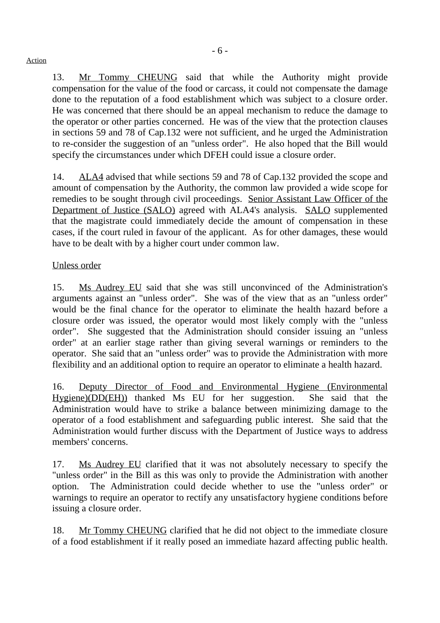13. Mr Tommy CHEUNG said that while the Authority might provide compensation for the value of the food or carcass, it could not compensate the damage done to the reputation of a food establishment which was subject to a closure order. He was concerned that there should be an appeal mechanism to reduce the damage to the operator or other parties concerned. He was of the view that the protection clauses in sections 59 and 78 of Cap.132 were not sufficient, and he urged the Administration to re-consider the suggestion of an "unless order". He also hoped that the Bill would specify the circumstances under which DFEH could issue a closure order.

14. ALA4 advised that while sections 59 and 78 of Cap.132 provided the scope and amount of compensation by the Authority, the common law provided a wide scope for remedies to be sought through civil proceedings. Senior Assistant Law Officer of the Department of Justice (SALO) agreed with ALA4's analysis. SALO supplemented that the magistrate could immediately decide the amount of compensation in these cases, if the court ruled in favour of the applicant. As for other damages, these would have to be dealt with by a higher court under common law.

#### Unless order

15. Ms Audrey EU said that she was still unconvinced of the Administration's arguments against an "unless order". She was of the view that as an "unless order" would be the final chance for the operator to eliminate the health hazard before a closure order was issued, the operator would most likely comply with the "unless order". She suggested that the Administration should consider issuing an "unless order" at an earlier stage rather than giving several warnings or reminders to the operator. She said that an "unless order" was to provide the Administration with more flexibility and an additional option to require an operator to eliminate a health hazard.

16. Deputy Director of Food and Environmental Hygiene (Environmental Hygiene)(DD(EH)) thanked Ms EU for her suggestion. She said that the Administration would have to strike a balance between minimizing damage to the operator of a food establishment and safeguarding public interest. She said that the Administration would further discuss with the Department of Justice ways to address members' concerns.

17. Ms Audrey EU clarified that it was not absolutely necessary to specify the "unless order" in the Bill as this was only to provide the Administration with another option. The Administration could decide whether to use the "unless order" or warnings to require an operator to rectify any unsatisfactory hygiene conditions before issuing a closure order.

18. Mr Tommy CHEUNG clarified that he did not object to the immediate closure of a food establishment if it really posed an immediate hazard affecting public health.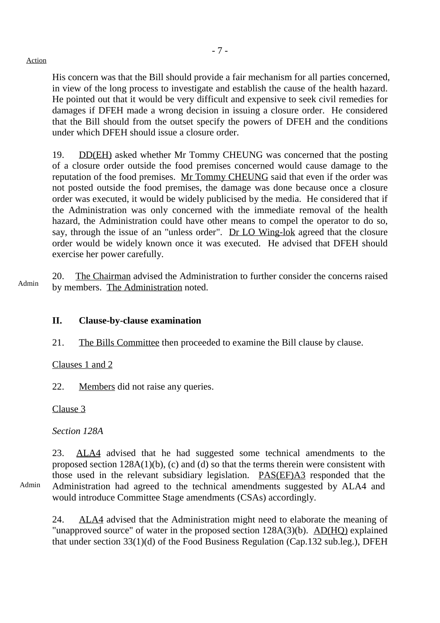His concern was that the Bill should provide a fair mechanism for all parties concerned, in view of the long process to investigate and establish the cause of the health hazard. He pointed out that it would be very difficult and expensive to seek civil remedies for damages if DFEH made a wrong decision in issuing a closure order. He considered that the Bill should from the outset specify the powers of DFEH and the conditions under which DFEH should issue a closure order.

19. DD(EH) asked whether Mr Tommy CHEUNG was concerned that the posting of a closure order outside the food premises concerned would cause damage to the reputation of the food premises. Mr Tommy CHEUNG said that even if the order was not posted outside the food premises, the damage was done because once a closure order was executed, it would be widely publicised by the media. He considered that if the Administration was only concerned with the immediate removal of the health hazard, the Administration could have other means to compel the operator to do so, say, through the issue of an "unless order". Dr LO Wing-lok agreed that the closure order would be widely known once it was executed. He advised that DFEH should exercise her power carefully.

Admin 20. The Chairman advised the Administration to further consider the concerns raised by members. The Administration noted.

## **II. Clause-by-clause examination**

21. The Bills Committee then proceeded to examine the Bill clause by clause.

Clauses 1 and 2

22. Members did not raise any queries.

Clause 3

*Section 128A*

Admin

23. ALA4 advised that he had suggested some technical amendments to the proposed section 128A(1)(b), (c) and (d) so that the terms therein were consistent with those used in the relevant subsidiary legislation. PAS(EF)A3 responded that the Administration had agreed to the technical amendments suggested by ALA4 and would introduce Committee Stage amendments (CSAs) accordingly.

24. ALA4 advised that the Administration might need to elaborate the meaning of "unapproved source" of water in the proposed section 128A(3)(b). AD(HQ) explained that under section 33(1)(d) of the Food Business Regulation (Cap.132 sub.leg.), DFEH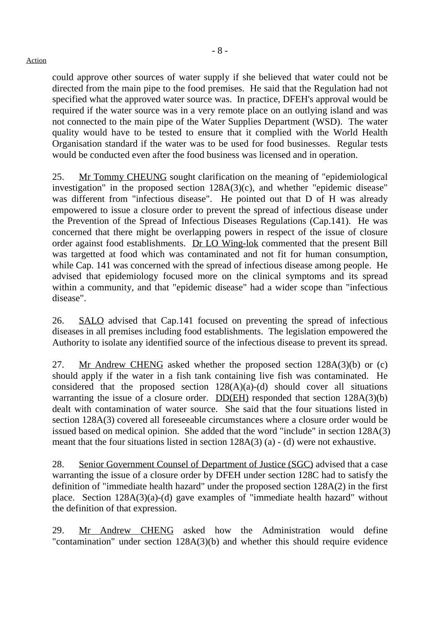could approve other sources of water supply if she believed that water could not be directed from the main pipe to the food premises. He said that the Regulation had not specified what the approved water source was. In practice, DFEH's approval would be required if the water source was in a very remote place on an outlying island and was not connected to the main pipe of the Water Supplies Department (WSD). The water quality would have to be tested to ensure that it complied with the World Health Organisation standard if the water was to be used for food businesses. Regular tests would be conducted even after the food business was licensed and in operation.

25. Mr Tommy CHEUNG sought clarification on the meaning of "epidemiological investigation" in the proposed section 128A(3)(c), and whether "epidemic disease" was different from "infectious disease". He pointed out that D of H was already empowered to issue a closure order to prevent the spread of infectious disease under the Prevention of the Spread of Infectious Diseases Regulations (Cap.141). He was concerned that there might be overlapping powers in respect of the issue of closure order against food establishments. Dr LO Wing-lok commented that the present Bill was targetted at food which was contaminated and not fit for human consumption, while Cap. 141 was concerned with the spread of infectious disease among people. He advised that epidemiology focused more on the clinical symptoms and its spread within a community, and that "epidemic disease" had a wider scope than "infectious disease".

26. SALO advised that Cap.141 focused on preventing the spread of infectious diseases in all premises including food establishments. The legislation empowered the Authority to isolate any identified source of the infectious disease to prevent its spread.

27. Mr Andrew CHENG asked whether the proposed section 128A(3)(b) or (c) should apply if the water in a fish tank containing live fish was contaminated. He considered that the proposed section  $128(A)(a)-(d)$  should cover all situations warranting the issue of a closure order.  $DD(EH)$  responded that section  $128A(3)(b)$ dealt with contamination of water source. She said that the four situations listed in section 128A(3) covered all foreseeable circumstances where a closure order would be issued based on medical opinion. She added that the word "include" in section 128A(3) meant that the four situations listed in section 128A(3) (a) - (d) were not exhaustive.

28. Senior Government Counsel of Department of Justice (SGC) advised that a case warranting the issue of a closure order by DFEH under section 128C had to satisfy the definition of "immediate health hazard" under the proposed section 128A(2) in the first place. Section 128A(3)(a)-(d) gave examples of "immediate health hazard" without the definition of that expression.

29. Mr Andrew CHENG asked how the Administration would define "contamination" under section 128A(3)(b) and whether this should require evidence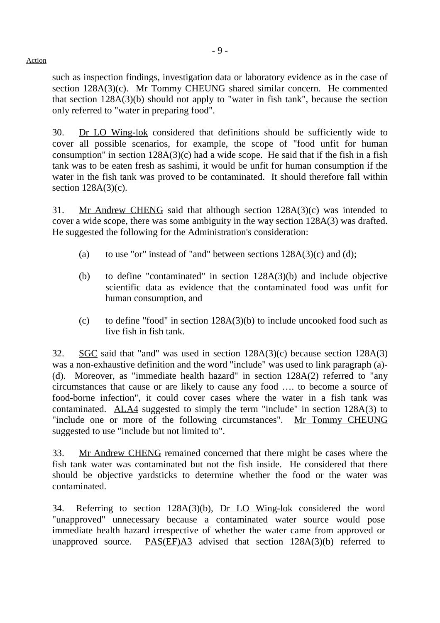such as inspection findings, investigation data or laboratory evidence as in the case of section 128A(3)(c). Mr Tommy CHEUNG shared similar concern. He commented that section 128A(3)(b) should not apply to "water in fish tank", because the section only referred to "water in preparing food".

30. Dr LO Wing-lok considered that definitions should be sufficiently wide to cover all possible scenarios, for example, the scope of "food unfit for human consumption" in section  $128A(3)(c)$  had a wide scope. He said that if the fish in a fish tank was to be eaten fresh as sashimi, it would be unfit for human consumption if the water in the fish tank was proved to be contaminated. It should therefore fall within section 128A(3)(c).

31. Mr Andrew CHENG said that although section 128A(3)(c) was intended to cover a wide scope, there was some ambiguity in the way section 128A(3) was drafted. He suggested the following for the Administration's consideration:

- (a) to use "or" instead of "and" between sections  $128A(3)(c)$  and (d);
- (b) to define "contaminated" in section 128A(3)(b) and include objective scientific data as evidence that the contaminated food was unfit for human consumption, and
- (c) to define "food" in section  $128A(3)(b)$  to include uncooked food such as live fish in fish tank.

32. SGC said that "and" was used in section 128A(3)(c) because section 128A(3) was a non-exhaustive definition and the word "include" was used to link paragraph (a)- (d). Moreover, as "immediate health hazard" in section 128A(2) referred to "any circumstances that cause or are likely to cause any food …. to become a source of food-borne infection", it could cover cases where the water in a fish tank was contaminated. ALA4 suggested to simply the term "include" in section 128A(3) to "include one or more of the following circumstances". Mr Tommy CHEUNG suggested to use "include but not limited to".

33. Mr Andrew CHENG remained concerned that there might be cases where the fish tank water was contaminated but not the fish inside. He considered that there should be objective yardsticks to determine whether the food or the water was contaminated.

34. Referring to section 128A(3)(b), Dr LO Wing-lok considered the word "unapproved" unnecessary because a contaminated water source would pose immediate health hazard irrespective of whether the water came from approved or unapproved source. PAS(EF)A3 advised that section 128A(3)(b) referred to